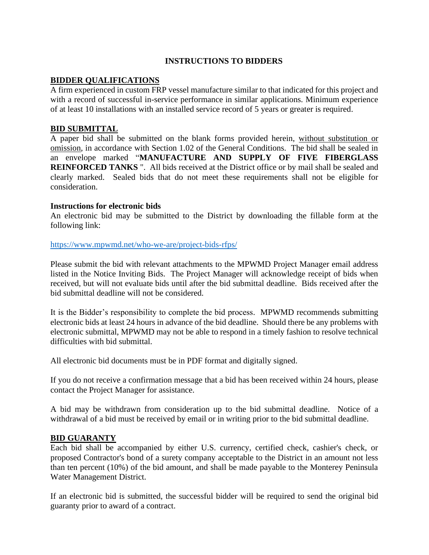### **INSTRUCTIONS TO BIDDERS**

### **BIDDER QUALIFICATIONS**

A firm experienced in custom FRP vessel manufacture similar to that indicated for this project and with a record of successful in-service performance in similar applications. Minimum experience of at least 10 installations with an installed service record of 5 years or greater is required.

# **BID SUBMITTAL**

A paper bid shall be submitted on the blank forms provided herein, without substitution or omission, in accordance with Section 1.02 of the General Conditions. The bid shall be sealed in an envelope marked "**MANUFACTURE AND SUPPLY OF FIVE FIBERGLASS REINFORCED TANKS** ". All bids received at the District office or by mail shall be sealed and clearly marked. Sealed bids that do not meet these requirements shall not be eligible for consideration.

### **Instructions for electronic bids**

An electronic bid may be submitted to the District by downloading the fillable form at the following link:

### <https://www.mpwmd.net/who-we-are/project-bids-rfps/>

Please submit the bid with relevant attachments to the MPWMD Project Manager email address listed in the Notice Inviting Bids. The Project Manager will acknowledge receipt of bids when received, but will not evaluate bids until after the bid submittal deadline. Bids received after the bid submittal deadline will not be considered.

It is the Bidder's responsibility to complete the bid process. MPWMD recommends submitting electronic bids at least 24 hours in advance of the bid deadline. Should there be any problems with electronic submittal, MPWMD may not be able to respond in a timely fashion to resolve technical difficulties with bid submittal.

All electronic bid documents must be in PDF format and digitally signed.

If you do not receive a confirmation message that a bid has been received within 24 hours, please contact the Project Manager for assistance.

A bid may be withdrawn from consideration up to the bid submittal deadline. Notice of a withdrawal of a bid must be received by email or in writing prior to the bid submittal deadline.

### **BID GUARANTY**

Each bid shall be accompanied by either U.S. currency, certified check, cashier's check, or proposed Contractor's bond of a surety company acceptable to the District in an amount not less than ten percent (10%) of the bid amount, and shall be made payable to the Monterey Peninsula Water Management District.

If an electronic bid is submitted, the successful bidder will be required to send the original bid guaranty prior to award of a contract.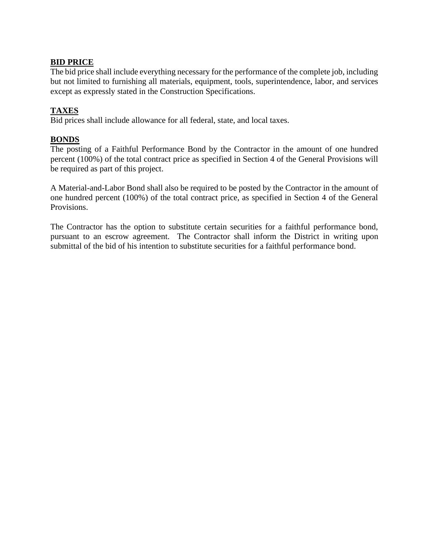### **BID PRICE**

The bid price shall include everything necessary for the performance of the complete job, including but not limited to furnishing all materials, equipment, tools, superintendence, labor, and services except as expressly stated in the Construction Specifications.

# **TAXES**

Bid prices shall include allowance for all federal, state, and local taxes.

# **BONDS**

The posting of a Faithful Performance Bond by the Contractor in the amount of one hundred percent (100%) of the total contract price as specified in Section 4 of the General Provisions will be required as part of this project.

A Material-and-Labor Bond shall also be required to be posted by the Contractor in the amount of one hundred percent (100%) of the total contract price, as specified in Section 4 of the General Provisions.

The Contractor has the option to substitute certain securities for a faithful performance bond, pursuant to an escrow agreement. The Contractor shall inform the District in writing upon submittal of the bid of his intention to substitute securities for a faithful performance bond.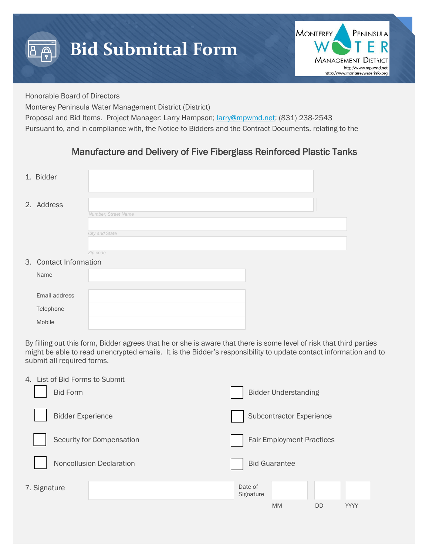



Honorable Board of Directors

Monterey Peninsula Water Management District (District)

Proposal and Bid Items. Project Manager: Larry Hampson; [larry@mpwmd.net;](mailto:larry@mpwmd.net) (831) 238-2543

Pursuant to, and in compliance with, the Notice to Bidders and the Contract Documents, relating to the

# Manufacture and Delivery of Five Fiberglass Reinforced Plastic Tanks

| 1. Bidder              |                     |  |
|------------------------|---------------------|--|
| 2. Address             | Number, Street Name |  |
|                        | City and State      |  |
|                        |                     |  |
|                        | Zip code            |  |
| 3. Contact Information |                     |  |
| Name                   |                     |  |
|                        |                     |  |
| Email address          |                     |  |
| Telephone              |                     |  |
| Mobile                 |                     |  |

By filling out this form, Bidder agrees that he or she is aware that there is some level of risk that third parties might be able to read unencrypted emails. It is the Bidder's responsibility to update contact information and to submit all required forms.

| 4. List of Bid Forms to Submit |                           |                      |                                  |    |      |
|--------------------------------|---------------------------|----------------------|----------------------------------|----|------|
| <b>Bid Form</b>                |                           |                      | <b>Bidder Understanding</b>      |    |      |
| <b>Bidder Experience</b>       |                           |                      | Subcontractor Experience         |    |      |
|                                | Security for Compensation |                      | <b>Fair Employment Practices</b> |    |      |
|                                | Noncollusion Declaration  |                      | <b>Bid Guarantee</b>             |    |      |
| 7. Signature                   |                           | Date of<br>Signature |                                  |    |      |
|                                |                           |                      | <b>MM</b>                        | DD | YYYY |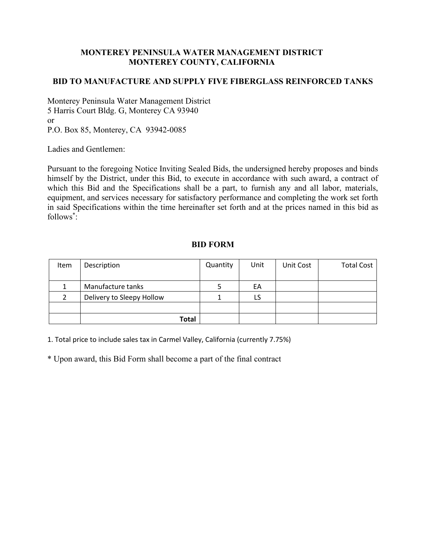# **MONTEREY PENINSULA WATER MANAGEMENT DISTRICT MONTEREY COUNTY, CALIFORNIA**

### **BID TO MANUFACTURE AND SUPPLY FIVE FIBERGLASS REINFORCED TANKS**

Monterey Peninsula Water Management District 5 Harris Court Bldg. G, Monterey CA 93940 or P.O. Box 85, Monterey, CA 93942-0085

Ladies and Gentlemen:

Pursuant to the foregoing Notice Inviting Sealed Bids, the undersigned hereby proposes and binds himself by the District, under this Bid, to execute in accordance with such award, a contract of which this Bid and the Specifications shall be a part, to furnish any and all labor, materials, equipment, and services necessary for satisfactory performance and completing the work set forth in said Specifications within the time hereinafter set forth and at the prices named in this bid as follows\* :

# **BID FORM**

| <b>Item</b> | Description               | Quantity | Unit | Unit Cost | <b>Total Cost</b> |
|-------------|---------------------------|----------|------|-----------|-------------------|
|             |                           |          |      |           |                   |
|             | Manufacture tanks         |          | EA   |           |                   |
|             | Delivery to Sleepy Hollow |          | LS   |           |                   |
|             |                           |          |      |           |                   |
|             | <b>Total</b>              |          |      |           |                   |

1. Total price to include sales tax in Carmel Valley, California (currently 7.75%)

\* Upon award, this Bid Form shall become a part of the final contract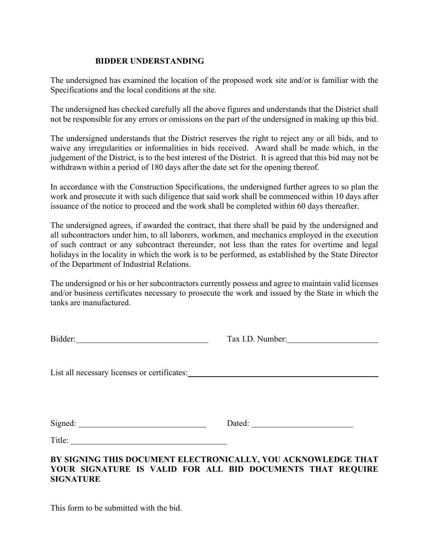### **BIDDER UNDERSTANDING**

The undersigned has examined the location of the proposed work site and/or is familiar with the Specifications and the local conditions at the site.

The undersigned has checked carefully all the above figures and understands that the District shall not be responsible for any errors or omissions on the part of the undersigned in making up this bid.

The undersigned understands that the District reserves the right to reject any or all bids, and to waive any irregularities or informalities in bids received. Award shall be made which, in the judgement of the District, is to the best interest of the District. It is agreed that this bid may not be withdrawn within a period of 180 days after the date set for the opening thereof.

In accordance with the Construction Specifications, the undersigned further agrees to so plan the work and prosecute it with such diligence that said work shall be commenced within 10 days after issuance of the notice to proceed and the work shall be completed within 60 days thereafter.

The undersigned agrees, if awarded the contract, that there shall be paid by the undersigned and all subcontractors under him, to all laborers, workmen, and mechanics employed in the execution of such contract or any subcontract thereunder, not less than the rates for overtime and legal holidays in the locality in which the work is to be performed, as established by the State Director of the Department of Industrial Relations.

The undersigned or his or her subcontractors currently possess and agree to maintain valid licenses and/or business certificates necessary to prosecute the work and issued by the State in which the tanks are manufactured.

|                                              | Tax I.D. Number:                                                                                                            |
|----------------------------------------------|-----------------------------------------------------------------------------------------------------------------------------|
| List all necessary licenses or certificates: |                                                                                                                             |
|                                              |                                                                                                                             |
|                                              |                                                                                                                             |
| <b>SIGNATURE</b>                             | BY SIGNING THIS DOCUMENT ELECTRONICALLY, YOU ACKNOWLEDGE THAT<br>YOUR SIGNATURE IS VALID FOR ALL BID DOCUMENTS THAT REQUIRE |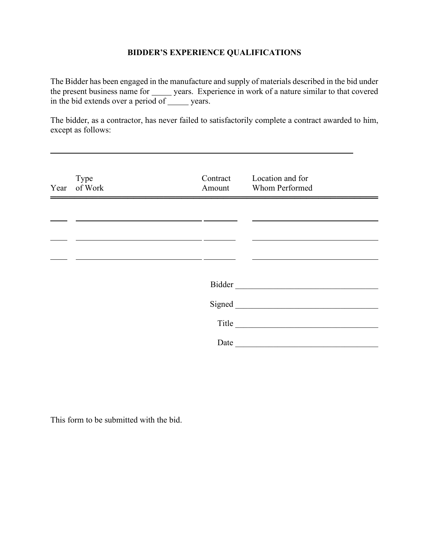# **BIDDER'S EXPERIENCE QUALIFICATIONS**

The Bidder has been engaged in the manufacture and supply of materials described in the bid under the present business name for \_\_\_\_\_\_ years. Experience in work of a nature similar to that covered in the bid extends over a period of <u>years</u>.

The bidder, as a contractor, has never failed to satisfactorily complete a contract awarded to him, except as follows:

| Type<br>Year of Work | Contract<br>Amount | Location and for<br>Whom Performed                                                                                                                                                                                             |  |
|----------------------|--------------------|--------------------------------------------------------------------------------------------------------------------------------------------------------------------------------------------------------------------------------|--|
|                      |                    |                                                                                                                                                                                                                                |  |
|                      |                    |                                                                                                                                                                                                                                |  |
|                      |                    |                                                                                                                                                                                                                                |  |
|                      |                    | Bidder Manuel Manuel Manuel Manuel Manuel Manuel Manuel Manuel Manuel Manuel Manuel Manuel Manuel Manuel Manuel Manuel Manuel Manuel Manuel Manuel Manuel Manuel Manuel Manuel Manuel Manuel Manuel Manuel Manuel Manuel Manue |  |
|                      |                    | Signed <u>Land</u>                                                                                                                                                                                                             |  |
|                      |                    |                                                                                                                                                                                                                                |  |
|                      | Date               |                                                                                                                                                                                                                                |  |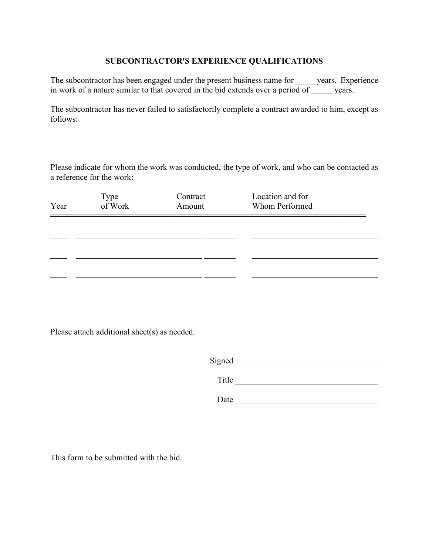# **SUBCONTRACTOR'S EXPERIENCE QUALIFICATIONS**

The subcontractor has been engaged under the present business name for wears. Experience in work of a nature similar to that covered in the bid extends over a period of  $\frac{1}{\sqrt{2}}$  years.

The subcontractor has never failed to satisfactorily complete a contract awarded to him, except as follows:

Please indicate for whom the work was conducted, the type of work, and who can be contacted as a reference for the work:

| Year | Type<br>of Work | Contract<br>Amount | Location and for<br>Whom Performed |  |
|------|-----------------|--------------------|------------------------------------|--|
|      |                 |                    |                                    |  |
|      |                 |                    |                                    |  |
|      |                 |                    |                                    |  |

Please attach additional sheet(s) as needed.

Title \_\_\_\_\_\_\_\_\_\_\_\_\_\_\_\_\_\_\_\_\_\_\_\_\_\_\_\_\_\_\_\_\_\_

 $Date$   $\qquad \qquad$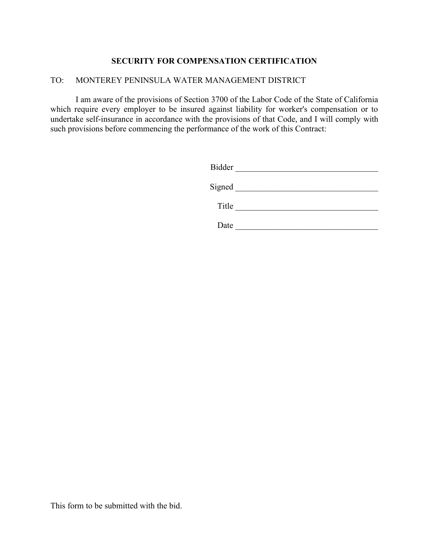### **SECURITY FOR COMPENSATION CERTIFICATION**

### TO: MONTEREY PENINSULA WATER MANAGEMENT DISTRICT

I am aware of the provisions of Section 3700 of the Labor Code of the State of California which require every employer to be insured against liability for worker's compensation or to undertake self-insurance in accordance with the provisions of that Code, and I will comply with such provisions before commencing the performance of the work of this Contract:

| <b>Bidder</b> |  |
|---------------|--|
| Signed        |  |
| Title         |  |

Date \_\_\_\_\_\_\_\_\_\_\_\_\_\_\_\_\_\_\_\_\_\_\_\_\_\_\_\_\_\_\_\_\_\_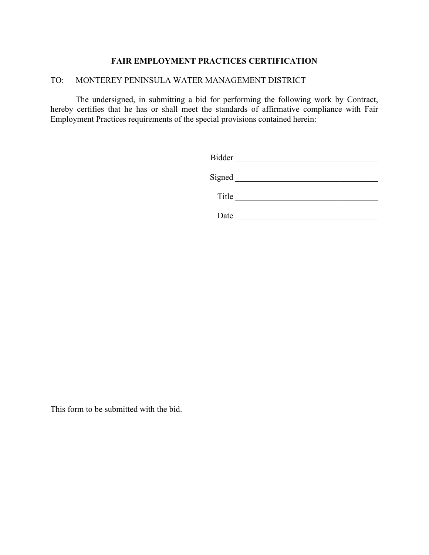# **FAIR EMPLOYMENT PRACTICES CERTIFICATION**

#### TO: MONTEREY PENINSULA WATER MANAGEMENT DISTRICT

The undersigned, in submitting a bid for performing the following work by Contract, hereby certifies that he has or shall meet the standards of affirmative compliance with Fair Employment Practices requirements of the special provisions contained herein:

| <b>Bidder</b> |  |
|---------------|--|
| Signed        |  |
| Title         |  |
| Date          |  |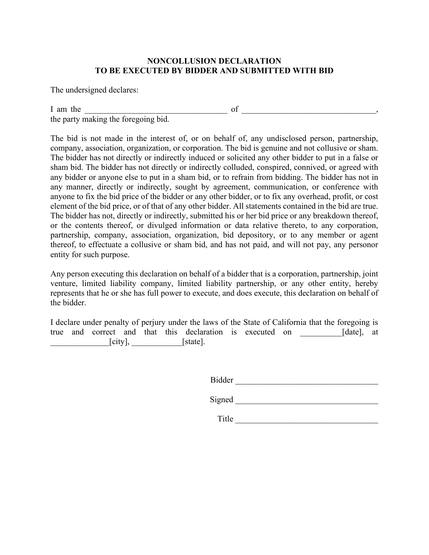### **NONCOLLUSION DECLARATION TO BE EXECUTED BY BIDDER AND SUBMITTED WITH BID**

The undersigned declares:

I am the  $\Box$ the party making the foregoing bid.

The bid is not made in the interest of, or on behalf of, any undisclosed person, partnership, company, association, organization, or corporation. The bid is genuine and not collusive or sham. The bidder has not directly or indirectly induced or solicited any other bidder to put in a false or sham bid. The bidder has not directly or indirectly colluded, conspired, connived, or agreed with any bidder or anyone else to put in a sham bid, or to refrain from bidding. The bidder has not in any manner, directly or indirectly, sought by agreement, communication, or conference with anyone to fix the bid price of the bidder or any other bidder, or to fix any overhead, profit, or cost element of the bid price, or of that of any other bidder. All statements contained in the bid are true. The bidder has not, directly or indirectly, submitted his or her bid price or any breakdown thereof, or the contents thereof, or divulged information or data relative thereto, to any corporation, partnership, company, association, organization, bid depository, or to any member or agent thereof, to effectuate a collusive or sham bid, and has not paid, and will not pay, any personor entity for such purpose.

Any person executing this declaration on behalf of a bidder that is a corporation, partnership, joint venture, limited liability company, limited liability partnership, or any other entity, hereby represents that he or she has full power to execute, and does execute, this declaration on behalf of the bidder.

I declare under penalty of perjury under the laws of the State of California that the foregoing is true and correct and that this declaration is executed on \_\_\_\_\_\_\_\_\_\_[date], at  $[city],$  [state].

Bidder \_\_\_\_\_\_\_\_\_\_\_\_\_\_\_\_\_\_\_\_\_\_\_\_\_\_\_\_\_\_\_\_\_\_

Signed \_\_\_\_\_\_\_\_\_\_\_\_\_\_\_\_\_\_\_\_\_\_\_\_\_\_\_\_\_\_\_\_\_\_

Title \_\_\_\_\_\_\_\_\_\_\_\_\_\_\_\_\_\_\_\_\_\_\_\_\_\_\_\_\_\_\_\_\_\_